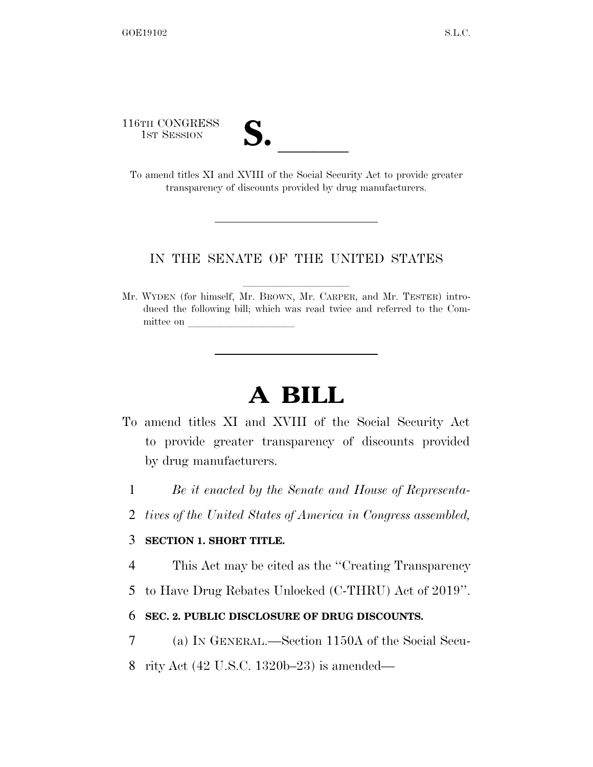116TH CONGRESS

16TH CONGRESS<br>
1st Session<br>
To amend titles XI and XVIII of the Social Security Act to provide greater transparency of discounts provided by drug manufacturers.

## IN THE SENATE OF THE UNITED STATES

Mr. WYDEN (for himself, Mr. BROWN, Mr. CARPER, and Mr. TESTER) introduced the following bill; which was read twice and referred to the Committee on

## **A BILL**

- To amend titles XI and XVIII of the Social Security Act to provide greater transparency of discounts provided by drug manufacturers.
	- 1 *Be it enacted by the Senate and House of Representa-*
	- 2 *tives of the United States of America in Congress assembled,*

## 3 **SECTION 1. SHORT TITLE.**

- 4 This Act may be cited as the ''Creating Transparency
- 5 to Have Drug Rebates Unlocked (C-THRU) Act of 2019''.

## 6 **SEC. 2. PUBLIC DISCLOSURE OF DRUG DISCOUNTS.**

- 7 (a) IN GENERAL.—Section 1150A of the Social Secu-
- 8 rity Act (42 U.S.C. 1320b–23) is amended—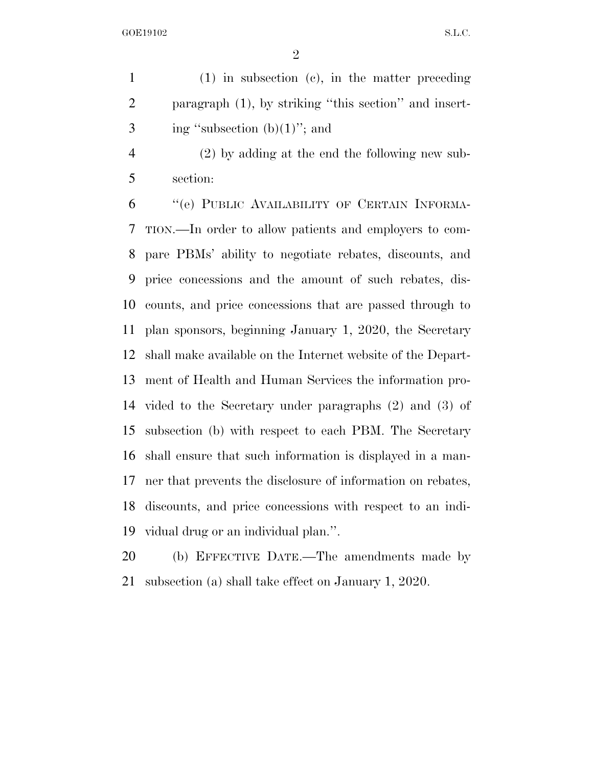(1) in subsection (c), in the matter preceding paragraph (1), by striking ''this section'' and insert-3 ing "subsection  $(b)(1)$ "; and

 (2) by adding at the end the following new sub-section:

 ''(e) PUBLIC AVAILABILITY OF CERTAIN INFORMA- TION.—In order to allow patients and employers to com- pare PBMs' ability to negotiate rebates, discounts, and price concessions and the amount of such rebates, dis- counts, and price concessions that are passed through to plan sponsors, beginning January 1, 2020, the Secretary shall make available on the Internet website of the Depart- ment of Health and Human Services the information pro- vided to the Secretary under paragraphs (2) and (3) of subsection (b) with respect to each PBM. The Secretary shall ensure that such information is displayed in a man- ner that prevents the disclosure of information on rebates, discounts, and price concessions with respect to an indi-vidual drug or an individual plan.''.

 (b) EFFECTIVE DATE.—The amendments made by subsection (a) shall take effect on January 1, 2020.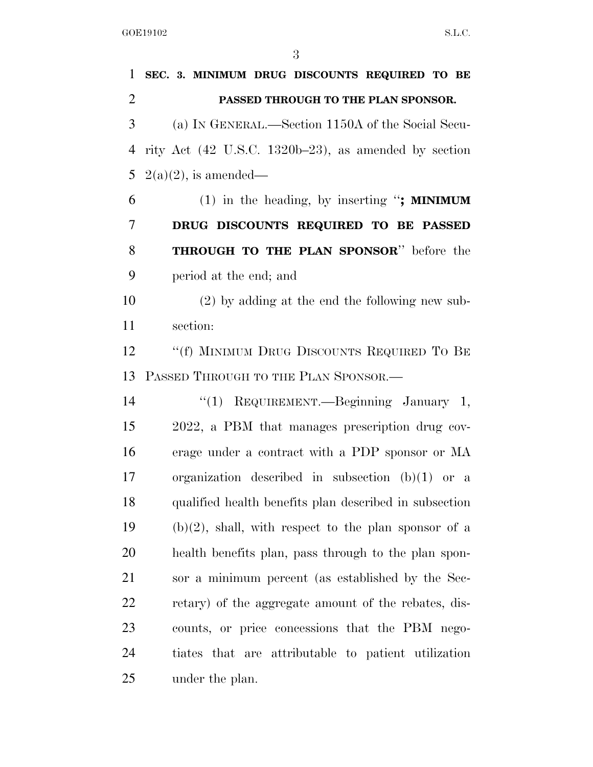**SEC. 3. MINIMUM DRUG DISCOUNTS REQUIRED TO BE PASSED THROUGH TO THE PLAN SPONSOR.**  (a) IN GENERAL.—Section 1150A of the Social Secu- rity Act (42 U.S.C. 1320b–23), as amended by section 5 2(a)(2), is amended— (1) in the heading, by inserting ''**; MINIMUM DRUG DISCOUNTS REQUIRED TO BE PASSED THROUGH TO THE PLAN SPONSOR**'' before the period at the end; and (2) by adding at the end the following new sub- section: 12 ""(f) MINIMUM DRUG DISCOUNTS REQUIRED TO BE PASSED THROUGH TO THE PLAN SPONSOR.— ''(1) REQUIREMENT.—Beginning January 1, 2022, a PBM that manages prescription drug cov- erage under a contract with a PDP sponsor or MA organization described in subsection (b)(1) or a qualified health benefits plan described in subsection 19 (b)(2), shall, with respect to the plan sponsor of a health benefits plan, pass through to the plan spon- sor a minimum percent (as established by the Sec- retary) of the aggregate amount of the rebates, dis- counts, or price concessions that the PBM nego- tiates that are attributable to patient utilization under the plan.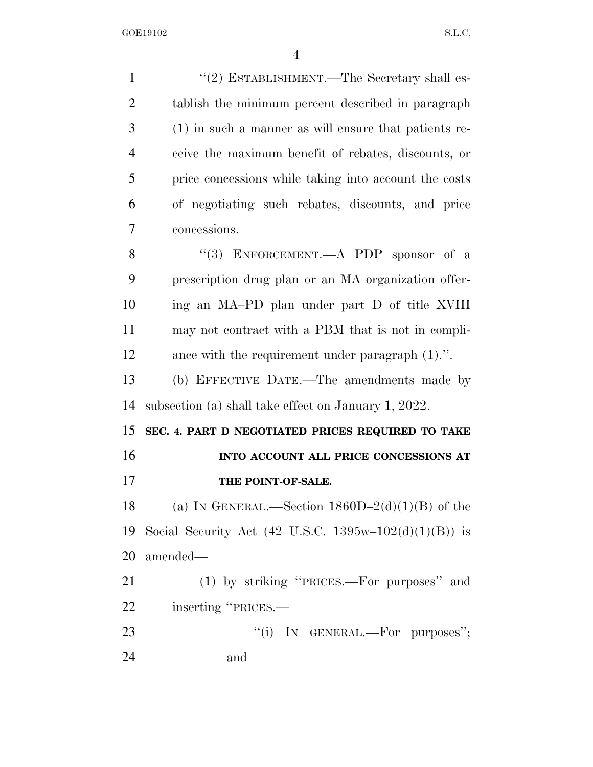| $\mathbf{1}$   | "(2) ESTABLISHMENT.—The Secretary shall es-           |
|----------------|-------------------------------------------------------|
| $\overline{2}$ | tablish the minimum percent described in paragraph    |
| 3              | (1) in such a manner as will ensure that patients re- |
| $\overline{4}$ | ceive the maximum benefit of rebates, discounts, or   |
| 5              | price concessions while taking into account the costs |
| 6              | of negotiating such rebates, discounts, and price     |
| 7              | concessions.                                          |
| 8              | "(3) ENFORCEMENT.—A PDP sponsor of a                  |
| 9              | prescription drug plan or an MA organization offer-   |
| 10             | ing an MA-PD plan under part D of title XVIII         |
| 11             | may not contract with a PBM that is not in compli-    |
| 12             | ance with the requirement under paragraph $(1)$ .".   |
| 13             | (b) EFFECTIVE DATE.—The amendments made by            |
| 14             | subsection (a) shall take effect on January 1, 2022.  |
| 15             | SEC. 4. PART D NEGOTIATED PRICES REQUIRED TO TAKE     |
| 16             | INTO ACCOUNT ALL PRICE CONCESSIONS AT                 |
| 17             | THE POINT-OF-SALE.                                    |
| 18             | (a) IN GENERAL.—Section $1860D-2(d)(1)(B)$ of the     |
| 19             | Social Security Act (42 U.S.C. 1395w-102(d)(1)(B)) is |
| 20             | amended—                                              |
| 21             | (1) by striking "PRICES.—For purposes" and            |
| 22             | inserting "PRICES.—                                   |
| 23             | "(i) IN GENERAL.—For purposes";                       |
| 24             | and                                                   |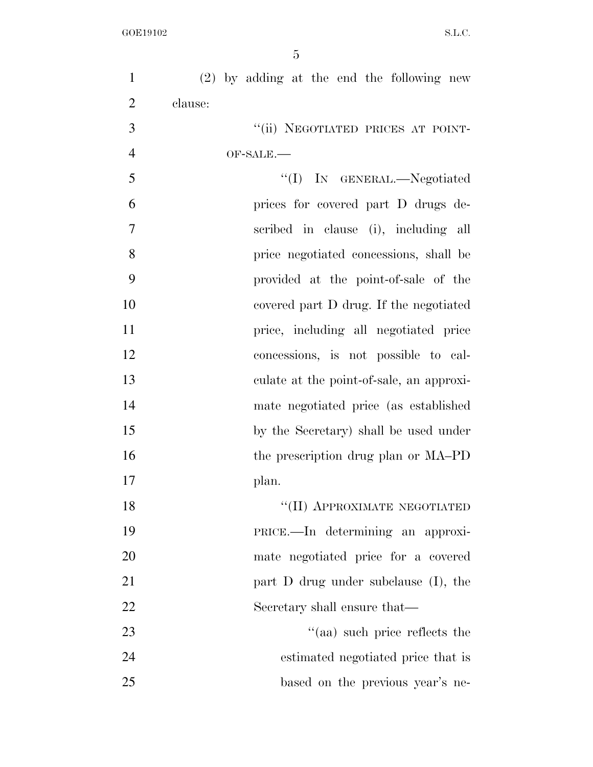| $\mathbf{1}$   | $(2)$ by adding at the end the following new |
|----------------|----------------------------------------------|
| $\overline{2}$ | clause:                                      |
| 3              | "(ii) NEGOTIATED PRICES AT POINT-            |
| $\overline{4}$ | OF-SALE.                                     |
| 5              | "(I) IN GENERAL.—Negotiated                  |
| 6              | prices for covered part D drugs de-          |
| $\overline{7}$ | scribed in clause (i), including all         |
| 8              | price negotiated concessions, shall be       |
| 9              | provided at the point-of-sale of the         |
| 10             | covered part D drug. If the negotiated       |
| 11             | price, including all negotiated price        |
| 12             | concessions, is not possible to cal-         |
| 13             | culate at the point-of-sale, an approxi-     |
| 14             | mate negotiated price (as established        |
| 15             | by the Secretary) shall be used under        |
| 16             | the prescription drug plan or MA-PD          |
| 17             | plan.                                        |
| 18             | "(II) APPROXIMATE NEGOTIATED                 |
| 19             | PRICE.—In determining an approxi-            |
| 20             | mate negotiated price for a covered          |
| 21             | part $D$ drug under subclause $(I)$ , the    |
| 22             | Secretary shall ensure that—                 |
| 23             | "(aa) such price reflects the                |
| 24             | estimated negotiated price that is           |
| 25             | based on the previous year's ne-             |